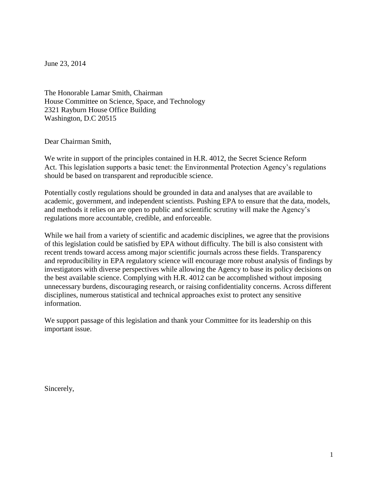June 23, 2014

The Honorable Lamar Smith, Chairman House Committee on Science, Space, and Technology 2321 Rayburn House Office Building Washington, D.C 20515

Dear Chairman Smith,

We write in support of the principles contained in H.R. 4012, the Secret Science Reform Act. This legislation supports a basic tenet: the Environmental Protection Agency's regulations should be based on transparent and reproducible science.

Potentially costly regulations should be grounded in data and analyses that are available to academic, government, and independent scientists. Pushing EPA to ensure that the data, models, and methods it relies on are open to public and scientific scrutiny will make the Agency's regulations more accountable, credible, and enforceable.

While we hail from a variety of scientific and academic disciplines, we agree that the provisions of this legislation could be satisfied by EPA without difficulty. The bill is also consistent with recent trends toward access among major scientific journals across these fields. Transparency and reproducibility in EPA regulatory science will encourage more robust analysis of findings by investigators with diverse perspectives while allowing the Agency to base its policy decisions on the best available science. Complying with H.R. 4012 can be accomplished without imposing unnecessary burdens, discouraging research, or raising confidentiality concerns. Across different disciplines, numerous statistical and technical approaches exist to protect any sensitive information.

We support passage of this legislation and thank your Committee for its leadership on this important issue.

Sincerely,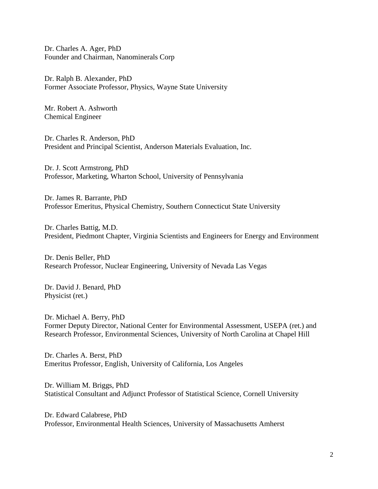Dr. Charles A. Ager, PhD Founder and Chairman, Nanominerals Corp

Dr. Ralph B. Alexander, PhD Former Associate Professor, Physics, Wayne State University

Mr. Robert A. Ashworth Chemical Engineer

Dr. Charles R. Anderson, PhD President and Principal Scientist, Anderson Materials Evaluation, Inc.

Dr. J. Scott Armstrong, PhD Professor, Marketing, Wharton School, University of Pennsylvania

Dr. James R. Barrante, PhD Professor Emeritus, Physical Chemistry, Southern Connecticut State University

Dr. Charles Battig, M.D. President, Piedmont Chapter, Virginia Scientists and Engineers for Energy and Environment

Dr. Denis Beller, PhD Research Professor, Nuclear Engineering, University of Nevada Las Vegas

Dr. David J. Benard, PhD Physicist (ret.)

Dr. Michael A. Berry, PhD Former Deputy Director, National Center for Environmental Assessment, USEPA (ret.) and Research Professor, Environmental Sciences, University of North Carolina at Chapel Hill

Dr. Charles A. Berst, PhD Emeritus Professor, English, University of California, Los Angeles

Dr. William M. Briggs, PhD Statistical Consultant and Adjunct Professor of Statistical Science, Cornell University

Dr. Edward Calabrese, PhD Professor, Environmental Health Sciences, University of Massachusetts Amherst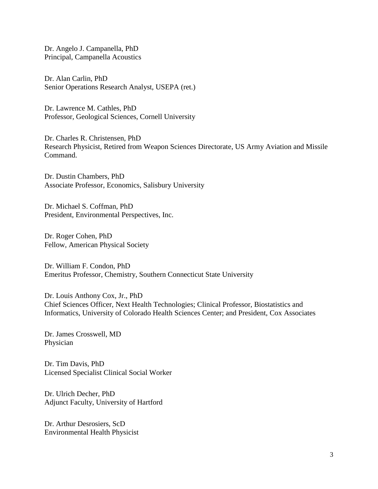Dr. Angelo J. Campanella, PhD Principal, Campanella Acoustics

Dr. Alan Carlin, PhD Senior Operations Research Analyst, USEPA (ret.)

Dr. Lawrence M. Cathles, PhD Professor, Geological Sciences, Cornell University

Dr. Charles R. Christensen, PhD Research Physicist, Retired from Weapon Sciences Directorate, US Army Aviation and Missile Command.

Dr. Dustin Chambers, PhD Associate Professor, Economics, Salisbury University

Dr. Michael S. Coffman, PhD President, Environmental Perspectives, Inc.

Dr. Roger Cohen, PhD Fellow, American Physical Society

Dr. William F. Condon, PhD Emeritus Professor, Chemistry, Southern Connecticut State University

Dr. Louis Anthony Cox, Jr., PhD Chief Sciences Officer, Next Health Technologies; Clinical Professor, Biostatistics and Informatics, University of Colorado Health Sciences Center; and President, Cox Associates

Dr. James Crosswell, MD Physician

Dr. Tim Davis, PhD Licensed Specialist Clinical Social Worker

Dr. Ulrich Decher, PhD Adjunct Faculty, University of Hartford

Dr. Arthur Desrosiers, ScD Environmental Health Physicist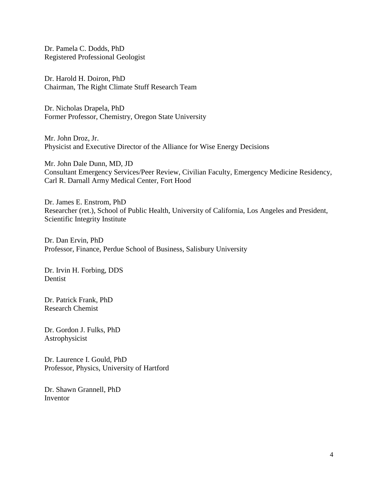Dr. Pamela C. Dodds, PhD Registered Professional Geologist

Dr. Harold H. Doiron, PhD Chairman, The Right Climate Stuff Research Team

Dr. Nicholas Drapela, PhD Former Professor, Chemistry, Oregon State University

Mr. John Droz, Jr. Physicist and Executive Director of the Alliance for Wise Energy Decisions

Mr. John Dale Dunn, MD, JD Consultant Emergency Services/Peer Review, Civilian Faculty, Emergency Medicine Residency, Carl R. Darnall Army Medical Center, Fort Hood

Dr. James E. Enstrom, PhD Researcher (ret.), School of Public Health, University of California, Los Angeles and President, Scientific Integrity Institute

Dr. Dan Ervin, PhD Professor, Finance, Perdue School of Business, Salisbury University

Dr. Irvin H. Forbing, DDS Dentist

Dr. Patrick Frank, PhD Research Chemist

Dr. Gordon J. Fulks, PhD Astrophysicist

Dr. Laurence I. Gould, PhD Professor, Physics, University of Hartford

Dr. Shawn Grannell, PhD Inventor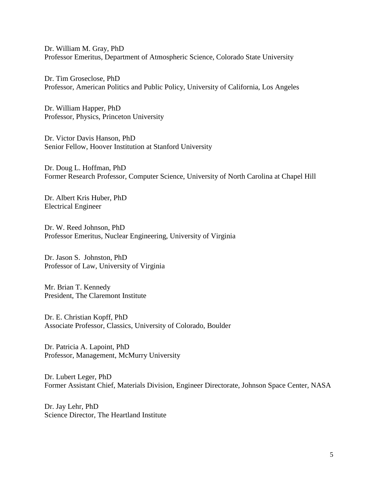Dr. William M. Gray, PhD Professor Emeritus, Department of Atmospheric Science, Colorado State University

Dr. Tim Groseclose, PhD Professor, American Politics and Public Policy, University of California, Los Angeles

Dr. William Happer, PhD Professor, Physics, Princeton University

Dr. Victor Davis Hanson, PhD Senior Fellow, Hoover Institution at Stanford University

Dr. Doug L. Hoffman, PhD Former Research Professor, Computer Science, University of North Carolina at Chapel Hill

Dr. Albert Kris Huber, PhD Electrical Engineer

Dr. W. Reed Johnson, PhD Professor Emeritus, Nuclear Engineering, University of Virginia

Dr. Jason S. Johnston, PhD Professor of Law, University of Virginia

Mr. Brian T. Kennedy President, The Claremont Institute

Dr. E. Christian Kopff, PhD Associate Professor, Classics, University of Colorado, Boulder

Dr. Patricia A. Lapoint, PhD Professor, Management, McMurry University

Dr. Lubert Leger, PhD Former Assistant Chief, Materials Division, Engineer Directorate, Johnson Space Center, NASA

Dr. Jay Lehr, PhD Science Director, The Heartland Institute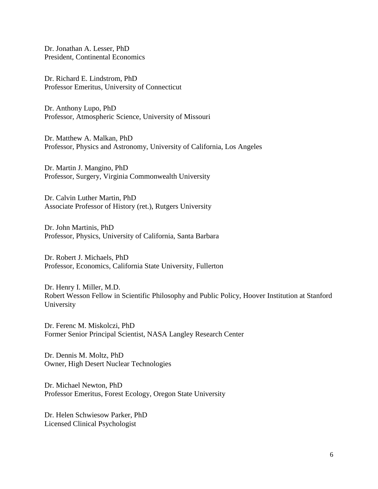Dr. Jonathan A. Lesser, PhD President, Continental Economics

Dr. Richard E. Lindstrom, PhD Professor Emeritus, University of Connecticut

Dr. Anthony Lupo, PhD Professor, Atmospheric Science, University of Missouri

Dr. Matthew A. Malkan, PhD Professor, Physics and Astronomy, University of California, Los Angeles

Dr. Martin J. Mangino, PhD Professor, Surgery, Virginia Commonwealth University

Dr. Calvin Luther Martin, PhD Associate Professor of History (ret.), Rutgers University

Dr. John Martinis, PhD Professor, Physics, University of California, Santa Barbara

Dr. Robert J. Michaels, PhD Professor, Economics, California State University, Fullerton

Dr. Henry I. Miller, M.D. Robert Wesson Fellow in Scientific Philosophy and Public Policy, Hoover Institution at Stanford University

Dr. Ferenc M. Miskolczi, PhD Former Senior Principal Scientist, NASA Langley Research Center

Dr. Dennis M. Moltz, PhD Owner, High Desert Nuclear Technologies

Dr. Michael Newton, PhD Professor Emeritus, Forest Ecology, Oregon State University

Dr. Helen Schwiesow Parker, PhD Licensed Clinical Psychologist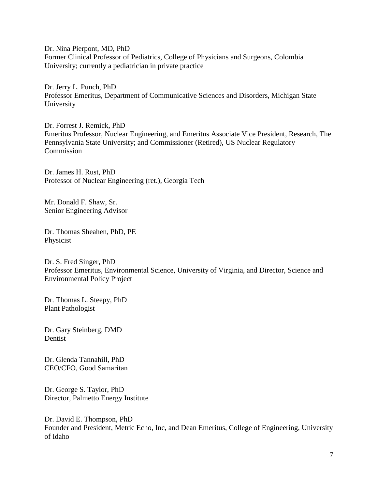Dr. Nina Pierpont, MD, PhD Former Clinical Professor of Pediatrics, College of Physicians and Surgeons, Colombia University; currently a pediatrician in private practice

Dr. Jerry L. Punch, PhD Professor Emeritus, Department of Communicative Sciences and Disorders, Michigan State University

Dr. Forrest J. Remick, PhD Emeritus Professor, Nuclear Engineering, and Emeritus Associate Vice President, Research, The Pennsylvania State University; and Commissioner (Retired), US Nuclear Regulatory **Commission** 

Dr. James H. Rust, PhD Professor of Nuclear Engineering (ret.), Georgia Tech

Mr. Donald F. Shaw, Sr. Senior Engineering Advisor

Dr. Thomas Sheahen, PhD, PE Physicist

Dr. S. Fred Singer, PhD Professor Emeritus, Environmental Science, University of Virginia, and Director, Science and Environmental Policy Project

Dr. Thomas L. Steepy, PhD Plant Pathologist

Dr. Gary Steinberg, DMD Dentist

Dr. Glenda Tannahill, PhD CEO/CFO, Good Samaritan

Dr. George S. Taylor, PhD Director, Palmetto Energy Institute

Dr. David E. Thompson, PhD Founder and President, Metric Echo, Inc, and Dean Emeritus, College of Engineering, University of Idaho